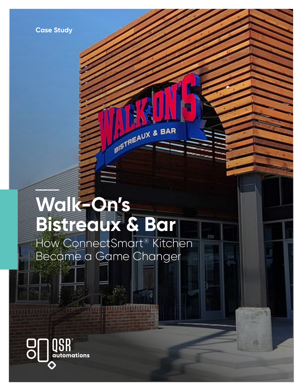# **Walk-On's Bistreaux & Bar**

How ConnectSmart® Kitchen Became a Game Changer

BISTREAUX & BAR

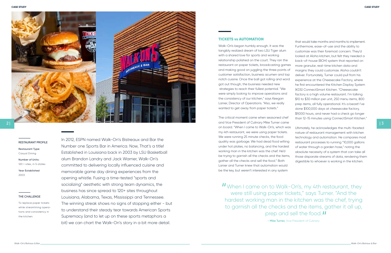

# $2|$

**CASE STUDY CASE STUDY**

| 3

**- Mike Turner,** Vice President of Culinary

In 2012, ESPN named Walk-On's Bistreaux and Bar the Number one Sports Bar in America. Now, That's a title! Established in Louisiana back in 2003 by LSU Basketball alum Brandon Landry and Jack Warner, Walk-On's committed to delivering locally influenced cuisine and memorable game day dining experiences from the opening whistle. Fusing a time-tested "sports and socializing" aesthetic with strong team dynamics, the business has since spread to 120+ sites throughout Louisiana, Alabama, Texas, Mississippi and Tennessee. The winning streak shows no signs of stopping either - but to understand their steady tear towards American Sports Supremacy (and to let up on these sports metaphors a bit) we can chart the Walk-On's story in a bit more detail.

#### THE CHALLENGE

To replace paper tickets while streamlining opera tions and consistency in the kitchen.

#### RESTAURANT PROFILE

Restaurant Type: Casual Dining

Number of Units: 120 + sites, in 5 states.

Year Established 2003

# TICKETS vs AUTOMATION

Walk-On's began humbly enough. It was the tangibly realized dream of two LSU Tiger alum with a shared love for sports and working relationship polished on the court. They ran the restaurant on paper tickets, broadcasting gam and making good on juggling the three points customer satisfaction, business acumen and top notch cuisine. Once the ball got rolling and word got out though, the business needed new strategies to reach their fullest potential. "We were simply looking to improve operations and the consistency of our kitchen," says Keegan Lanier, Director of Operations. "Also, we really wanted to get away from paper tickets."

The critical moment came when seasoned che and Vice President of Culinary Mike Turner cam on board. "When I came to Walk-On's, which w my 4th restaurant, we were using paper tickets. We were running 25 minute checks, the food quality was garbage. We had dead food wilting under hot plates, no balancing, and the hardest working man in the kitchen was the chef. He'd be trying to garnish all the checks and the items, gather all the checks and sell the food." Both Lanier and Turner knew that automation would be the key, but weren't interested in any system than 12-15 minutes using ConnectSmart Kitchen." Ultimately, he acknowledges the multi-faceted nature of restaurant management with kitchen technology and automation. He compares most restaurant processes to running "10,000 gallons of water through a garden hose," noting the absolute necessity of a system that can take all those disparate streams of data, rendering them digestible to whoever is working in the kitchen.

II When I came on to Walk-On's, my 4th restaurant, they<br>were still using paper tickets," says Turner. "And the were still using paper tickets," says Turner. "And the hardest working man in the kitchen was the chef, trying to garnish all the checks and the items, gather it all up, prep and sell the food. *II*<br>
- Mike Turner, Vice President of Culinary

|              | that would take months and months to implement.       |
|--------------|-------------------------------------------------------|
|              | Furthermore, ease-of-use and the ability to           |
|              | customize was their foremost concern. They'd          |
|              | looked at Aloha kitchen, but felt they needed a       |
| $\mathbf{r}$ | back-of-house (BOH) system that reported on           |
| es           | more granular, real-time kitchen data and             |
| of           | margins they could customize. Aloha couldn't          |
| p            | deliver. Fortunately, Turner could pull from his      |
| rd           | experience at the Cheesecake Factory, where           |
|              | he first encountered the Kitchen Display System       |
|              | (KDS) ConnectSmart Kitchen. "Cheesecake               |
|              | factory is a high volume restaurant. I'm talking      |
|              | \$10 to \$30 million per unit, 250 menu items, 800    |
|              | prep items, all fully operational. It's a beast! I've |
|              | done \$100,000 days at cheesecake factory,            |
|              | \$9,000 hours, and never had a check go longer        |
| эf           | than 12-15 minutes using ConnectSmart Kitchen."       |
| e            |                                                       |
| as           | Ultimately, he acknowledges the multi-faceted         |
| Ļ,           | nature of restaurant management with kitchen          |
|              | technology and automation. He compares most           |
| ıg           | restaurant processes to running "10,000 gallons       |
| st           | of water through a garden hose," noting the           |
|              | absolute necessity of a system that can take all      |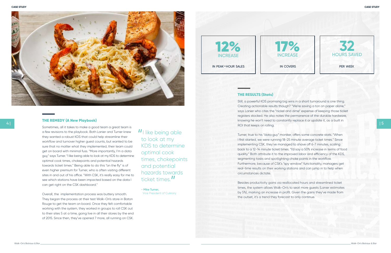

| 5







**- Mike Turner,**  Vice President of Culinary

# THE RESULTS (Stats)

Still, a powerful KDS promising big wins in a short turnaround is one thing. Creating actionable results though? "We're saving a ton on paper alone," says Lanier who cites the "nickel and dime" expense of keeping those ticket registers stocked. He also notes the permanence of the durable hardware, knowing he won't need to constantly replace it or update it, as a built in ROI that keeps on rolling.

Turner, true to his "data guy" moniker, offers some concrete stats. "When I first started, we were running 18-25 minute average ticket times." Since implementing CSK, they've managed to shave off 6-7 minutes, scaling back to a 12-14 minute ticket times. "I'd say a 50% increase in terms of food quality." Both attribute it to the improved labor and efficiency of the KDS, segmenting tasks and spotlighting choke points in the workflow. Furthermore, because of CSK's "spy window" functionality, managers get real-time results on their working stations and can jump in to help when circumstances dictate.

Besides productivity gains via reallocated hours and streamlined ticket times, the system allows Walk-On's to seat more guests (Lanier estimates by 5%), marking an increase in profit. Given the gains they've made from the outset, it's a trend they forecast to only continue.

## THE REMEDY (A New Playbook)

Sometimes, all it takes to make a good team a great team is a few revisions to the playbook. Both Lanier and Turner knew they wanted a robust KDS that could help streamline their workflow and turnover higher guest counts, but wanted to be sure that no matter what they implemented, their team could get on board with minimal fuss. "More importantly, I'm a data guy," says Turner. "I like being able to look at my KDS to determine optimal cook times, chokepoints and potential hazards towards ticket times." Being able to do this "on the fly" is of even higher premium for Turner, who is often visiting different sites in and out of his office. "With CSK, it's really easy for me to see which stations have been impacted based on the data I can get right on the CSK dashboard."

Overall, the implementation process was buttery smooth. They began the process at their test Walk-On's store in Baton Rouge to get the team on board. Once they felt comfortable working with the system, they worked in groups to roll CSK out to their sites 5 at a time, going live in all their stores by the end of 2015. Since then, they've opened 7 more, all running on CSK.

II like being able<br>to look at my to look at my KDS to determine optimal cook times, chokepoints and potential hazards towards ticket times."<br>- Mike Turner